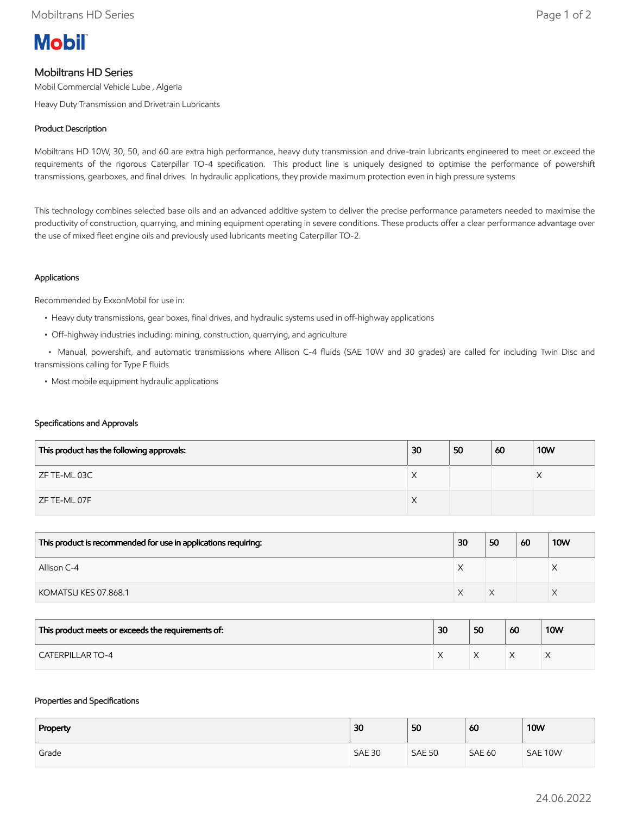

# Mobiltrans HD Series

Mobil Commercial Vehicle Lube , Algeria

Heavy Duty Transmission and Drivetrain Lubricants

## Product Description

Mobiltrans HD 10W, 30, 50, and 60 are extra high performance, heavy duty transmission and drive-train lubricants engineered to meet or exceed the requirements of the rigorous Caterpillar TO-4 specification. This product line is uniquely designed to optimise the performance of powershift transmissions, gearboxes, and final drives. In hydraulic applications, they provide maximum protection even in high pressure systems

This technology combines selected base oils and an advanced additive system to deliver the precise performance parameters needed to maximise the productivity of construction, quarrying, and mining equipment operating in severe conditions. These products offer a clear performance advantage over the use of mixed fleet engine oils and previously used lubricants meeting Caterpillar TO-2.

## Applications

Recommended by ExxonMobil for use in:

- Heavy duty transmissions, gear boxes, final drives, and hydraulic systems used in off-highway applications
- Off-highway industries including: mining, construction, quarrying, and agriculture

 • Manual, powershift, and automatic transmissions where Allison C-4 fluids (SAE 10W and 30 grades) are called for including Twin Disc and transmissions calling for Type F fluids

• Most mobile equipment hydraulic applications

#### Specifications and Approvals

| This product has the following approvals: | 30 | 50 | 60 | <b>10W</b> |
|-------------------------------------------|----|----|----|------------|
| ZF TE-ML 03C                              | ⌒  |    |    |            |
| ZF TE-ML 07F                              | ∧  |    |    |            |

| This product is recommended for use in applications requiring: | 30 | 50 | 60 | <b>10W</b> |
|----------------------------------------------------------------|----|----|----|------------|
| Allison C-4                                                    |    |    |    | ⌒          |
| KOMATSU KES 07.868.1                                           |    |    |    |            |

| This product meets or exceeds the requirements of: | 30 | 50 | 60 | <b>10W</b> |
|----------------------------------------------------|----|----|----|------------|
| <b>CATERPILLAR TO-4</b>                            |    |    |    |            |

#### Properties and Specifications

| Property | 30            | 50            | 60            | <b>10W</b> |
|----------|---------------|---------------|---------------|------------|
| Grade    | <b>SAE 30</b> | <b>SAE 50</b> | <b>SAE 60</b> | SAE 10W    |